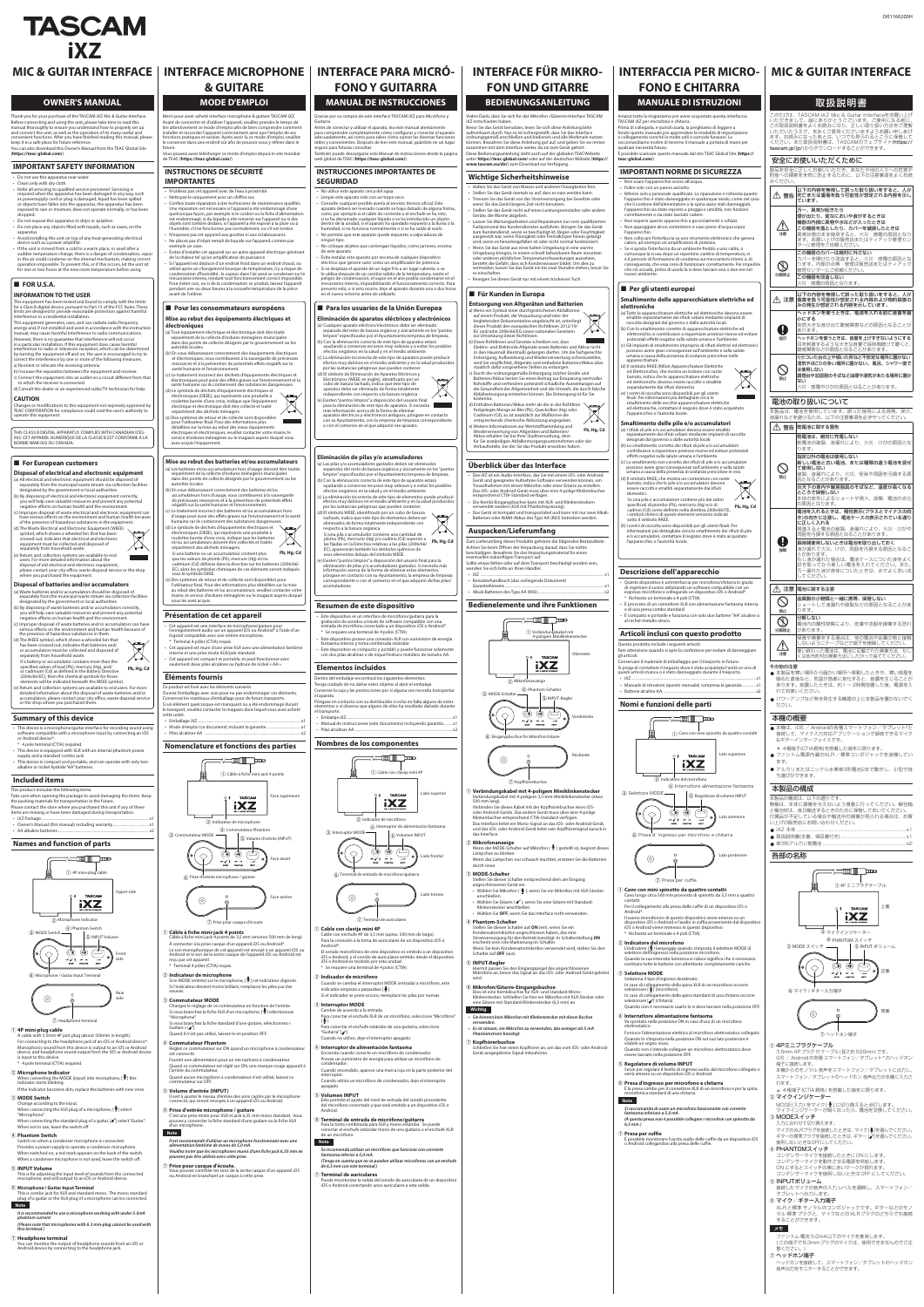# MIC & GUITAR INTERFACE | INTERFACE MICROPHONE | INTERFACE PARA MICRÓ-<br>& GUITARE | FONO Y GUITARRA

#### **OWNER'S MANUAL**

Thank you for your purchase of the TASCAM IXZ Mic & Guitar Interface. Before connecting and using the unit, please take time to read this<br>manual thoroughly to ensure you understand how to properly set up<br>and connect the unit, as well as the operation of its many useful and<br>convenient functio keep it in a safe place for future reference.

You can also download this Owner's Manual from the TEAC Global Site<br>(**https://teac-global.com**/).

#### **IMPORTANT SAFETY INFORMATION**

• Do not use this apparatus near water

• Clean only with dry cloth. • Refer all servicing to qualified service personnel. Servicing is

required when the apparatus has been damaged in any way, such<br>as powersupply cord or plug is damaged, liquid has been spilled<br>or objects have fallen into the apparatus, the apparatus has been<br>exposed to rain or moisture, d

取扱説明書 -<br>このたびは、TASCAM iXZ Mic & Guitar Interfaceをお買い上げ

D01160200H

いただきまして、誠にありがとうございます。ご使用になる前に、<br>この取扱説明書をよくお読みになり、正しい取り扱い方法をご理解<br>いただいたうえで、末永くご愛用くださいますようお願い申しあげ<br>ます。お読みになったあとは、いつでも見られるところに保管して<br>ください。また取扱説明書は、TASCAMのウェブサイト(**https://** 

製品を安全に正しくお使いいただき、あなたや他の人々への危害や<br>財産への損害を未然に防止するために、以下の注意事項をよくお読

 $\triangle$ 注意

安全にお使いいただくために

分解禁止  $\circledR$ 

この機器を改造しない 火災・<mark>感電の原因となります。</mark>

V警告 人が、以下の内容を無視して誤った取り扱いをすると 死亡または重傷を負う可能性が想定される内容を示し

煙が出たり、変なにおいや音がするときは 機器の内部に異物や水などが入ったときは カバーを破損したときは、この機器を落としたり 異常状態のまま使用すると、火災・感電の原因となり<br>ます。お買い上げの販売店またはティアック修理セン<br>ターに修理をご依頼ください。

。ています

。<br>スイださい。

異常が起きたら、万一

 $\bigcirc$ 禁止

ぐらついた台の上や傾いた所など不安定な場所に置かない 湿気やほこりの多い場所に置かない。風呂、シャワー室で

 $\boxtimes$ 

- 。<br>|調理台や加湿器のそばなど油煙や湯気があたる場所に置か

 $\boxtimes$ 

 $\bigcirc$ 禁止

この機器のカバーは絶対に外さない

△△ 注意 傷害を負う可能性が想定される内容および物的損害の<br>|みの発生が想定される内容を示しています。

カバーを開けたり改造すると、火災・感電の原因とな<br>ります。内部の点検・修理は販売店またはティアック<br>修理センターにご依頼ください。

ー<br>以下の内容を無視して誤った取り扱いをすると、人が

<sub>-</sub><br>ヘッドホンを使うときは、電源を入れる前に音量を最

<sub>.</sub><br>突然大きな音が出て聴覚障害などの原因となること $\hbar$ 

へッドホンを使うときは、音量を上げすぎないようにする 耳を刺激するような大きな音量で長時間続けて聴くと、|<br>聴覚障害などの原因となることがあります。

 $\mathbf 0$ 強制

けがや・火災、液漏れにより、間違えると電池の破裂 。周囲を汚損する原因となることがあります 長時間使用しないときは電池を取り出しておく <sub>。</sub><br>夜が漏れて火災、けが、周囲を汚損する原因となるこ

.ルめっぷ。。<br>」し液が漏れた場合は、電池ケースについた液をよく 拭き取ってから新しい電池を入れてください。また、|<br>万一漏れた液が身体についたときは、水でよく洗い流|

ョートして液漏れや破裂などの原因となることがあ

*.....*.....<br>電池内の酸性物質により、皮膚や衣服を損傷する恐れ

N 指示

小にする

 $\bigcirc$ 禁止

。あります

 $\triangle$ 注意

呆管や廃棄をする場合は、他の電池や金属の物と接触 ないようにテープなどで端子を絶縁してくだ 使い終わった電池は、電池に記載された廃棄方法、もし 。くは各市町村の廃棄方法にしたがって捨ててください

金属製の小物類と一緒に携帯、保管しない

● 本製品を寒い場所から暖かい場所へ移動したときや、寒い部屋を 暖めた直後など、気温が急激に変化すると、結露を生じるこ あります。結露したときは、約1~2時間放置した後、電源を入

● 本機は、iOS / Androidの各種スマートフォン/タブレット\*と<br>- 接続して、マイク入力対応アプリケーションで録音できるマイク

● アルカリまたはニッケル水素単3形電池2本で動作し、小型で持

は使用しない

ない

電池の取り扱いについて

△ 警告 乾電池に関する警告

。<br>つます.

開梱は、本体に損傷を与えないよう慎重に行ってください。梱包箱 と梱包材は、後日輸送するときのために保管しておいてください。 お買、付属品が不足している場合や輸送中の損傷が見られる場合は

けがの原因とな・火災、液漏れにより、乾電池の破裂

新しい電池と古い電池、または種類の違う電池を混ぜ<br>て使用しない <sub>彼</sub>裂、液漏れにより、火災、怪我や周囲を汚損する原

炎天下の車内や暖房器具のそばなど、温度が高くなる **ところで保管しない**<br>本体の変形によるショートや発火、故障、電池の劣化

電池を入れるときは、極性表示(プラスとマイナスの向<br>き)の向きに注意し、電池ケースの表示されている通り

指定以外の電池は使用しない

。因となることがあります

。の原因となります

に正しく入れる

かあります

③ MODEスイッチ 。入力に合わせて切り換えます

端子に接続します。

れます。

6 マイク / ギター入力端子

 $\odot$ 

 $\overline{S}$ 

。してください

△ 注意 電池に関する注意

. \_<br>ります。

。タブレットへ出力します 6 マイク/ギター入力端子

分解禁止

分解しない

。があります

tascam.jp/jp/)からダウンロードすることができます。

その他の注意

。れてお使いください

。ださい 本機の概要

ます。

 $\bullet$  iXZ 本体 ...

。ギターインターフェイスです&

 $\circledR$ 

accumulators, please contact your city office, waste disposal service<br>or the shop where you purchased them.

#### **Summary of this device**

This device is a microphone/guitar interface for recording sound using<br>• software compatible with a microphone input by connecting an iOS or Android device\*. 4 pole terminal (CTIA) required.

• This device is equipped with XLR with an internal phantom power<br>• supply and a standard combo jack.<br>• This device is compact and portable, and can operate with only two alkaline or nickel hydride "AA" batteries.

#### **included** items

This product includes the following items. Take care when opening the package to avoid damaging the items. Keep<br>the packing materials for transportation in the future.

Please contact the store where you purchased this unit if any of these<br>items are missing or have been damaged during transportation. ..<br>• iXZ Package .....

• Owner's Manual (this manual) including warranty ... • AA alkaline batteries.

#### **Names and function of parts**

。ち運びができます 本製品の構成

本製品の構成は、以下の通りです。

③ MODE スイッチ

① 4Pミニプラグケーブル

2 マイクインジケーター

4) PHANTOMスイッチ

5) INPUTボリューム

.dropped • Do not expose this apparatus to drips or splashes

• Do not place any objects filled with liquids, such as vases, on the .apparatus

electrical installing this unit on top of any heat-generating electrical device such as a power amplifier

If the unit is moved from a cold to a warm place, or used after a sudden temperature change, there is a danger of condensation; vapor<br>in the air could condense on the internal mechanism, making correct operation impossible. To prevent this, or if this occurs, let the unit sit<br>for one or two hours at the new room temperature before using.

#### $\blacksquare$  FOR U.S.A.

#### **INFORMATION TO THE USER**

This equipment has been tested and found to comply with the limits<br>for a Class B digital device, pursuant to Part 15 of the FCC Rules. These<br>limits are designed to provide reasonable protection against harmful<br>interference

This equipment generates, uses, and can radiate radio frequency<br>energy and, if not installed and used in accordance with the instruction<br>manual, may cause harmful interference to radio communications.

。い上げの販売店にお問い合わせください

However, there is no guarantee that interference will not occur<br>in a particular installation. If this equipment does cause harmful<br>interference to radio or television reception, which can be determined<br>by turning the equip  $\widetilde{\mathbf{r}}$  orrect the interference by one or more of the following measure a) Reorient or relocate the receiving antenna.

b) Increase the separation between the equipment and receiver c) Connect the equipment into an outlet on a circuit different from tha

to which the receiver is connected. d) Consult the dealer or an experienced radio/TV technician for help.

> 1x......................................................)保証書付き、本書(取扱説明書 0 2x..................................................................... 形アルカリ乾電池3単 0

> > ー<br>② マイクインジケーター

各部の名称

䐥㻌ヘッドホン端子

本機からのモノラル音声をスマートフォン/タブレットに出力し、 スマートフォン/タブレットのヘッドホン音声出力が本機に入力さ

MODE(入力) をマイク[♥] に切り換えると点灯します。<br>マイクインジケーターが暗くなったら、電池を交換してください。

マイクのXLRプラグを接続したときは、マイク「♥1を選んでください。 ギターの標準プラグを接続したときは、ギター [✔]を選んでください。<br>使用しないときはOFFにしてください。

接続したマイクの音声の入力レベルを調節し、スマートフォン/

XLR と標準 モノラルのコンボジャックです。ギターなどのモノ<br>ラル 標準 プラグと、マイクなどのXLRプラグのどちらでも接続

(この端子で6.3mmプラグのマイクは、使用できませんのでご注

へッドホンを接続して、スマートフォン/タブレットのヘッドホン

上面

3.5mm 4Pプラグ 付 ケーブル (長さ約 500mm) です。 iOS / Android の各種 スマートフォン/タブレット\*のヘッドホン

\* 4極端子(CTIA規格) を搭載した端末に限ります。

コンデンサーマイクを接続したときにON にします。 コンデンサーマイクを動作させる電源を供給します。 ON にするとスイッチの奥に赤いマークが現れます。 コンデンサーマイクを使用しないときはOFF にしてください。

正面

背面

\* 4極端子(CTIA規格)を搭載した端末に限ります。 ● ファントム電源内蔵のXLR /標準コンボジャックを装備してい

–アンプなど熱を発生する機器の上に本製品を置かないで<

。。。<br>火災・感電やけがの原因となることがあります。

-<br>本製品は、電池を使用しています。誤った使用による発熱、発火、 液漏れなどを避けるため、以下の注意事項を必ず守ってくださ

乾電池は、絶対に充電しない

。することができます

意ください。) (7) ヘッドホン端子

メモ

。mA以下のマイクを推奨します5.0 電流 ファントム

- ネット・・・。<br>音声出力をモニターすることができます。

4 PHANTOM スイッチ

 $\circledcirc \circledcirc$ 

 $\overline{a}$ 

ors  $\swarrow$   $\frac{1}{2}$  ors on

 $(1)$  4P  $\geq -7$   $\rightarrow$   $7$   $\rightarrow$   $\rightarrow$   $\rightarrow$   $\rightarrow$   $\rightarrow$ 

**TASCAM** iXZ

5 INPUT ボリューム

 .(length in mm500 about (plug jack P4 mm3.5 with cable A For connecting to the headphone jack of an iOS or Android device\*. Monophonic sound from this device is output to an iOS or Android device, and headphone sound output from the iOS or Android device is input to this device 4 pole terminal (CTIA) required

## **2 Microphone Indicator**<br>
When converting the MODE (input) into microphone, [ $\ddagger$ ] this<br>
Indicator starts blinking.

If the Indicator becomes dim, replace the batteries with new ones **(3) MODE Switch** 

..............<br>Change according to the input. When connecting the XLR plug of a microphone,  $[\mathbf{\Psi}]$  select ."Microphone" When connecting the standard plug of a guitar,  $[4]$  select "Guitar". When not in use, leave the switch off.

#### **(4) Phantom Switch**

. connected is microphone is connected. Provides a power supply to operate a condenser microphone. When switched on, a red mark appears on the back of the switch. When a condenser microphone is not used, leave the switch off.

**(5) INPUT Volume** This is for adjusting the input level of sounds from the connected microphone, and will output to an iOS or Android device.

#### **6** Microphone / Guitar Input Terminal

This is combo jack for XLR and standard mono. The mono standard .comes yet the XLR plug of a microphone can be connected **Note**

### It is recommended to use a microphone working with under 5.0mA

 $phantom$ .*current.* .<br>(Please note that microphones with 6.3 mm-plug cannot be used with *(.terminal this*

#### *<b>D* Headphone terminal

**Premallence community**<br>You can monitor the output of headphone sounds from an iOS or Android device by connecting to the headphone jack.

Ouvrez l'emballage avec soin pour ne pas endommager ces éléments onservez les matériaux d'emballage pour de futurs transports. Si un élément quelconque est manquant ou a été endommagé durant<br>le transport, veuillez contacter le magasin dans lequel vous avez acheté<br>cette unité.

Emballage iXZ... nte d'emploi (ce document) incluant la garantie documentoire d'emploi (ce document document document do mode•<br>● Mode d'emploi (ce document) incluant la garantie de Piles alcalines AA ..

#### **Nomenclature et fonctions des parties**

### 1 Câble à fiche mini-jack 4 points -<br>Face supérieure TASCAM **iXZ** 2 Indicateur de microphone

Avant de connecter et d'utiliser l'appareil, veuillez prendre le temps de<br>lire attentivement ce mode d'emploi afin de bien comprendre comment<br>installer et raccorder l'appareil correctement ainsi que l'emploi de ses<br>fonctio le conserver dans une endroit sûr afin de pouvoir vous y référer dans le .future

**& GUITARE** 

**MODE D'EMPLOI** Merci pour avoir acheté interface microphone & quitare TASCAM IXZ.

Vous pouvez aussi télécharger ce mode d'emploi depuis le site mondial<br>de TEAC (**https://teac-global.com**/).

#### **CAUTION**

Changes or modifications to this equipment not expressly approved by<br>TEAC CORPORATION for compliance could void the user's authority to ence this equipment.

THIS CLASS B DIGITAL APPARATUS COMPLIES WITH CANADIAN ICES-<br>003. CET APPAREIL NUMÉRIQUE DE LA CLASSE B EST CONFORME À LA<br>NORME NMB-003 DU CANADA.

#### $\blacksquare$  For European customers

#### **Disposal of electrical and electronic equipment**

(a) All electrical and electronic equipment should be disposed of separately from the municipal waste stream via collection facilities designated by the government or local authorities.

(b) By disposing of electrical and electronic equipment correctly,<br>you will help save valuable resources and prevent any potential negative effects on human health and the environm

(c) Improper disposal of waste electrical and electronic equipment can<br>have serious effects on the environment and human health because of the presence of hazardous substances in the equipment

d) The Waste Electrical and Electronic Equipment (WEEE) symbol, which shows a wheeled bin that has been crossed out, indicates that electrical and electronic equipment must be collected and disposed of<br>separately from household waste.

(e) Return and collection systems are available to end<br>users. For more detailed information about the **Contract Contract** disposal of old electrical and electronic equipment,<br>please contact your city office, waste disposal service or the shop<br>where you purchased the equipment.

#### **Disposal of batteries and/or accumulators**

(a) Waste batteries and/or accumulators should be disposed of separately from the municipal waste stream via collection facilities designated by the government or local authorities. (b) By disposing of waste batteries and/or accumulators correctly

you will help save valuable resources and prevent any potentia negative effects on human health and the environm c) Improper disposal of waste batteries and/or accumulators can have

serious effects on the environment and human health because of the presence of hazardous substances in them. If the WEEE symbol, which shows a wheeled bin that

has been crossed out, indicates that batteries and/ or accumulators must be collected and disposed of<br>separately from household waste.

If a battery or accumulator contains more than the specified values of lead (Pb), mercury (Hg), and/<br>or cadmium (Cd) as defined in the Battery Directive Pb, Hg, Cd

(2006/66/EC), then the chemical symbols for those<br>elements will be indicated beneath the WEEE symbol. e) Return and collection systems are available to end users. For more detailed information about the disposal of waste batteries was

#### **INSTRUCTIONS DE SÉCURITÉ IMPORTANTES**

#### .<br>Provinité à execte appareil avec de l'eau à proximité.

Nettoyez-le uniquement avec un chiffon sec. Confiez toute réparation à des techniciens de maintenance qualifiés Une réparation est nécessaire si l'appareil a été endommagé d'une<br>quelconque façon, par exemple si le cordon ou la fiche d'alimentation<br>est endommagé, si du liquide a été renversé sur l'appareil ou si des objets sont tombés dedans, si l'appareil a été exposé à la pluie ou à<br>l'humidité, s'il ne fonctionne pas normalement, ou s'il est tombé. N'exposez pas cet appareil aux gouttes ni aux éclaboussures.

Ne placez pas d'objet rempli de liquide sur l'appareil, comme par

exemple un vase.<br>• Évitez d'installer cet appareil sur un autre appareil électrique générant<br>• Gi l'appareil est déplacé d'un endroit froid dans un endroit chaud, ou<br>• Si l'appareil est déplacé d'un endroit froid dans un e

utilisé après un changement brusque de température, il y a risque de<br>condensation d'humidité ; la vapeur dans l'air peut se condenser sur le mécanisme interne, rendant tout fonctionnement correct impossible.<br>Pour éviter ceci, ou si de la condensation se produit, laissez l'appareil<br>pendant une ou deux heures à la nouvelle température de la pièce avant de l'utiliser.

#### $\blacksquare$  Pour les consommateurs européens

#### **Mise au rebut des équipements électriques et électroniques**

(a) Tout équipement électrique et électronique doit être traité<br>séparément de la collecte d'ordures ménagères municipales<br>dans des points de collecte désignés par le gouvernement ou les<br>autorités locales.

(b) En vous débarrassant correctement des équipements électriques<br>et électroniques, vous contribuerez à la sauvegarde de précieuses<br>ressources et à la prévention de potentiels effets négatifs sur la santé humaine et l'environnement.

Le traitement incorrect des déchets d'équipements électriques et électroniques peut avoir des effets graves sur l'environnement et la santé humaine car ils contiennent des substances dangereuses.

et électriques équipements des substances dan.<br>Le symbole de déchets d'équipements électriques et électroniques (DEEE), qui représente une poubelle à

roulettes barrée d'une croix, indique que l'équipement<br>électrique et électronique doit être collecté et traité electrique et cicctionique doit au ...<br>séparément des déchets ménagers.  $\sqrt{2}$ Des systèmes de retour et de collecte sont disponibles pour l'utilisateur final. Pour des informations plus

détaillées sur la mise au rebut des vieux équipements<br>électriques et électroniques, veuillez contacter votre mairie, le<br>service d'ordures ménagères ou le magasin auprès duquel vous avez acquis l'équipement.

séparément de la collecte d'ordures ménagères municipale dans des points de collecte désignés par le gouvernement ou les<br>autorités locales. o) En vous débarrassant correctement des batteries et/ou accumulateurs hors d'usage, vous contribuerez à la sauvegarde<br>de précieuses ressources et à la prévention de potentiels effets<br>négatifs sur la santé humaine et l'environnement.

(c) Le traitement incorrect des batteries et/ou accumulateurs hors<br>d'usage peut avoir des effets graves sur l'environnement et la santé<br>humaine car ils contiennent des substances dangereuses.

que les valeurs de plomb (Pb), mercure (Hg) et/ou<br>cadmium (Cd) définies dans la directive sur les batteries (2006/66/ EC), alors les symboles chimiques de ces éléments seront indiqué:

**Pb, Hg, Cd** 

 $\lambda$ 

) Des systèmes de retour et de collecte sont disponibles pour l'utilisateur final. Pour des informations plus détaillées sur la mise<br>au rebut des batteries et/ou accumulateurs, veuillez contacter votre<br>mairie, le service d'ordures ménagères ou le magasin auprès duquel

• Cet appareil est une interface de microphone/guitare pour<br>l'enregistrement audio sur un appareil iOS ou Android\* à l'aide d'un<br>logiciel compatible avec une entrée microphone.

• Cet appareil est muni d'une prise XLR avec une alimentation fantôme<br>interne et une prise mixte XLR/jack standard. a<br>Cet appareil est compact et portable, et peut fonctionner avec seulement deux piles alcalines ou hydrure de nickel « AA ».

**Présentation de cet appareil** 

 $*$  Terminal 4 pôles (CTIA) requis.

Ce produit est livré avec les éléments suivants.

**Éléments fournis** 

(d) Le symbole de déchets d'équipements électriques et<br>électroniques (DEEE), qui représente une poubelle à<br>roulettes barrée d'une croix, indique que les batteries et/ou accumulateurs doivent être collectés et traités<br>séparément des déchets ménagers. Si une batterie ou un accumulateur contient plus

sous le symbole DEEE.

vous les avez acquis.

#### **Mise au rebut des batteries et/ou accumulateurs** (a) Les batteries et/ou accumulateurs hors d'usage doivent être traité **Eliminación de pilas y/o acumuladores**

(a) Las pilas y/o acumuladores gastados deben ser eliminados<br>separados del resto de basura orgánica y únicamente en los "puntos<br>limpios" especificados por el Ayuntamiento/empresa de limpieza. (b) Con la eliminación correcta de este tipo de aparatos estará

(d) El símbolo de Eliminación de Aparatos Eléctricos y<br>Electrónicos (WEEE en inglés), identificado por un<br>cubo de basura tachado, indica que este tipo de<br>aparatos debe ser eliminado de forma totalmente independiente con respecto a la basura orgánica. e) Existen "puntos limpios" a disposición del usuario final para la eliminación de este tipo de aparatos. Si necesita<br>más información acerca de la forma de eliminar

ayudando a conservar recursos muy valiosos y a evitar los posibles<br>efectos negativos en la salud y en el medio ambiente.

aparatos eléctricos y electrónicos antiguos, póngase en contacto<br>con su Ayuntamiento, con la empresa de limpieza correspondiente<br>o con el comercio en el que adquirió ese aparato.

**MANUAL DE INSTRUCCIONES** 

Gracias por su compra de este interface TASCAM iXZ para Micrófono y<br>Guitarra. attuarie.<br>Antes de conectar y utilizar el aparato, lea este manual atentame para comprender completamente cómo configurar y conectar el aparato<br>adecuadamente, así como para saber cómo operar las diversas funciones útiles y convenientes. Después de leer este manual, quárdelo en un lugar

También puede descargarse este Manual de instrucciones desde la página<br>web global de TEAC (**https://teac-global.com**/).

**INSTRUCCIONES IMPORTANTES DE** 

Consulte cualquier posible avería al servicio técnico oficial. Este aparato deberá ser revisado cuando se haya dañado de alguna forma,<br>como por ejemplo si el cable de corriente o el enchufe se ha roto,<br>si se ha derramado cualquier líquido o se ha introducido un objeto dentro de la unidad, si el aparato ha quedado expuesto a la lluvia o la<br>humedad, si no funciona normalmente o si se ha caído al suelo. No permita que este aparato quede expuesto a salpicaduras de

No coloque objetos que contengan líquidos, como jarrones, encima

Evite instalar este aparato por encima de cualquier dispositivo .potencia de amplicador por como un amplificador de potencia Si se desplaza el aparato de un lugar frío a un lugar caliente, o se lo utiliza después de un cambio súbito de la temperatura, existe el peligro de condensación; el vapor en el aire podría condensarse en el<br>mecanismo interno, imposibilitando el funcionamiento correcto. Para<br>prevenir esto, o si esto ocurre, deje el aparato durante una o dos horas

**E** Para los usuarios de la Unión Europea **Eliminación de aparatos eléctricos y electrónicos** (a) Cualquier aparato eléctrico/electrónico debe ser eliminado<br>separado del resto de basura orgánica y únicamente en los″puntos<br>limpios″ especificados por el Ayuntamiento/empresa de limpieza. b) Con la eliminación correcta de este tipo de aparatos estará ayudando a conservar recursos muy valiosos y a evitar los posibles<br>efectos negativos en la salud y en el medio ambiente. (c) La eliminación incorrecta de este tipo de aparatos puede producir<br>efectos muy dañinos en el medio ambiente y en la salud producidos<br>por las sustancias peligrosas que pueden contener.

seguró para futuras consultas.

2 **Indicateur de microphone**<br>Si le MODE (entrée) sur le microphone, [ $\mathcal{Q}$ ] cet indicateur clignote. Si l'indicateur devient moins brillant, remplacez les piles par des .neuves

#### **3** Commutateur MODE

Changez le réglage de ce commutateur en fonction de l'entrée. Si vous branchez la fiche XLR d'un microphone, [ 뽀] sélectionnez<br>"Microphone".

Si vous branchez la fiche standard d'une guitare, sélectionnez « Guitare » [✔].<br>Quand il n'est pas utilisé, laissez-le en position OFF.

- **Commutateur Phantom** Réglez ce commutateur sur ON guand un microphone à condensateur est connecté Fournit une alimentation pour un microphone à condensateur Quand ce commutateur est réglé sur ON, une marque rouge apparaît à<br>l'arrière du commutateur.
- Quand aucun microphone à condensateur n'est utilisé, laissez ce<br>commutateur sur OFF.

**(5) Volume d'entrée (INPUT)**<br>Il sert à ajuster le niveau d'entrée des sons captés par le microphone connecté, qui seront envoyés à un appareil iOS ou Android

**6 Prise d'entrée microphone / guitare**<br>C'est une prise mixte pour XLR et jack 6,35 mm mono standard. Vous pouvez y connecter la fiche standard d'une guitare ou la fiche XLR<br>d'un microphone.



Microphone / Guitar Input Terminal  $^{\circ}$ 



#### **(1)** 4P mini-plug cable

1x .........garantía incluyendo) documento este (instrucciones de Manual• **Pilas alcalinas AA.** 

#### **Nombres de los componentes**

.apagado **IS Volumen INPUT<br>Esto permite el ajuste del nivel de entrada del sonido procedente<br>del micrófono conectado y que será emitido a un dispositivo iOS o<br>Android.** 

 $\widehat{\mathfrak{s}}$  Terminal de entrada de micrófono/guitarra Para la toma combinada para XLR y mono estándar. Se puede conectar el enchufe estándar mono de una guitarra o el enchufe XLR de un micrófono

.kostenlos l) Enthalten Batterien/Akkus mehr als die in der Richtlinie  $\bigtriangledown$ festgelegte Menge an Blei (Pb), Quecksilber (Hg) oder

Cadmium (Cd), so ist zusätzlich zur Mülltonne die  $\lambda$ entsprechende chemische Abkürzung angegeben. Weitere Informationen zur Wertstoffsammlung und **Pb, Hg, Cd** Wiederverwertung von Altgeräten und Batterien

Das iXZ ist ein Audio-Interface, das Sie mit einem iOS- oder Android-

dem einer verwarten verwaltung von dem Akkus erhalten Sie bei Ihrer Stadtverwaltung, dem<br>Tür Sie zuständigen Abfallentsorgungsunternehmen oder de für Sie zuständigen Abfallentsorgungsunternehmen oder der<br>Verkaufsstelle, bei der Sie das Produkt erworben haben.

#### **Überblick über das Interface**

Das iXZ ist ein Audio-Interface, das Sie mit einem iOS- oder Android-<br>Gerät und geeigneter Aufnahme-Software verwenden können, um<br>Tonaufnahmen mit einem Mikrofon oder einer Gitarre zu erstellen.<br>Das iOS- oder Android-Gerät

- 
- Die Kombi-Eingangsbuchse kann mit XLR- und Klinkensteckern<br>• verwendet werden (XLR mit Phantomspeisung).
- Das Gerät ist kompakt und transportabel und kann mit nur zwei Alkali-Batterien oder NiMH-Akkus des Typs AA (R03) betrieben werden.

#### Auspacken/Lieferumfang

Zum Lieferumfang dieses Produkts gehören die folgenden Bestandteile : Achten Sie beim Öffnen der Verpackung darauf, dass Sie nichts beschädigen. Bewahren Sie das Verpackungsmaterial für einen eventuellen zukünftigen Transport auf. Sollte etwas fehlen oder auf dem Transport beschädigt worden sein venden Sie sich bitte an Ihren Händler

 $\cdot$  iXZ ..... Benutzerhandbuch (das vorliegende Dokument) 1x .......................................................................................................Garantiehinweis

#### **Wichtig ·** Sie können kein Mikrofon mit Klinkenstecker mit dieser Buchse

*.verwenden Es ist ratsam, ein Mikrofon zu verwenden, das weniger als 5 mA* 





#### **(1) Câble à fiche mini-iack 4 points**

Câble à fiche mini-jack 4 points de 3,5 mm (environ 500 mm de long) À connecter à la prise casque d'un appareil iOS ou Android\*. Le son monophonique de cet appareil est envoyé à un appareil iOS ou Android et le son de la sortie casque de l'appareil iOS ou Android est reçu par cet appareil .<br>Terminal 4 pôles (CTIA) requi:

#### **Note**

*Il est recommandé d'utiliser un microphone fonctionnant avec une<br>alimentation fantôme de moins de 5,0 mA.* Veuillez noter que les microphones munis d'une fiche jack 6,35 mm ne<br>peuvent pas être utilisés avec cette prise.

**(7) Prise pour casque d'écoute.**<br>
Vous pouvez contrôler les sons de la sortie casque d'un appareil iOS<br>
ou Android en branchant un casque à cette prise.

Póngase en contacto con su distribuidor si echa en falta alguno de estos elementos o si observa que alguno de ellos ha resultado dañado durante el transporte • Embalaie iXZ....

Conservare il materiale di imballaggio per il trasporto in futuro. Si prega di contattare il negozio dove è stata acquistata l'unità se uno di<br>questi articoli manca o è stato danneggiato durante il trasporto. 1x .................................................................................................................................iXZ• 1x ..............garanzia la compresa) manuale questo (istruzioni di Manuale•

Fare attenzione quando si apre la confezione per evitare di danneggiare

i simboli chimici di questi elementi verranno indicati<br>sotto il simbolo RAEE. I centri di raccolta sono disponibili per gli utenti finali. Per informazioni più dettagliate circa lo smaltimento dei rifiuti di pile<br>e/o accumulatori, contattare il negozio dove è stato acquistato

l'apparecchio o l'autorità locale.

**Descrizione dell'apparecchio** 

.<br>Richiesto un terminale a 4 poli (CTIA).

Questo prodotto include i seguenti articoli.

al nichel-metallo idruro.

• Batterie alcaline AA....

gli articoli.

· Non usare l'apparecchio vicino all'acqua. Pulire solo con un panno asciutto

correttamente o sia stato lasciato cadere.

qualsiasi necessità futura.

teac-global.com/).

nuovo ambiente.

contatti Per il collegamento alla presa delle cuffie di un dispositivo iOS o Android\*.<br>Il suono monofonico di questo dispositivo viene emesso su un

**2 Indicatore del microfono**<br>L'indicatore [**v**] lampeggia quando s'imposta il selettore MODE (il<br>selettore dell'ingresso) nella posizione microfono. Quando la sua intensità luminosa si riduce significa che è necessario<br>sostituire tutte le batterie con altrettante completamente cariche.

In caso di collegamento della spina XLR di un microfono occorre<br>selezionare [♀] (microfono). In caso di collegamento della spina standard di una chitarra occorre<br>selezionare [✔] (chitarra). Quando non è necessario usarlo lo si deve lasciare nella posizione OFF.

Va spostato nella posizione ON in caso d'uso di un microfono<br>elettrostatico. Fornisce l'alimentazione elettrica al microfono elettrostatico collegato. Quando lo s'imposta nella posizione ON sul suo lato posteriore è

Quando non s'intende collegare un microfono elettrostatico deve

**C Presa d'ingresso per microfono e chitarra e per la spina de la presa combo per il connettore XLR di un microfono e per la spina** È la presa combo per il connettore XLR di un microfono e per la spina<br>monofonica standard di una chitarra.

 $Si$  raccomanda di usare un microfono funzionante con corrente

*(A questa presa non è possibile collegare i microfoni con spinotto da* 

è possibile monitorare l'uscita audio delle cuffie da un dispositivo iOS

e collegato microfono dal audio dal microfono collegato e<br>rve per regolare il livello di ingresso audio dal microfono collegato e

Richiesto un terminale a 4 poli (CTIA).

Seleziona il tipo d'ingresso desiderato.

**(4)** Interruttore alimentazione fantasma

verrà emesso su un dispositivo iOS o Android

o Android collegandosi alla presa delle cuffie.

**3** Selettore MODE

visibile un segno rosso

**SEGURIDAD**

ningún tipo

de este aparato

.<br>No utilice este aparato cerca del agua. Limpie este aparato solo con un trapo seco.

en el nuevo entorno antes de utilizarlo.

(c) La eliminación incorrecta de este tipo de elementos puede producir<br>efectos muy dañinos en el medio ambiente y en la salud producidos por las sustancias peligrosas que pueden contener

(d) El símbolo WEEE, identificado por un cubo de basura<br>tachado, indica que este tipo de elementos deben ser<br>eliminados de forma totalmente independiente con<br>respecto a la basura orgánica.

Si una pila o acumulador contiene una cantidad de

plomo (Pb), mercurio (Hg) y/o cadmio (Cd) superior a<br>las fijadas en la Directiva relativas a las pilas (2006/66/<br>EC), aparecerán también los símbolos químicos de esos elementos debajo del símbolo WEEE.

**Pb, Hg, Cd** 

↿▃▞

 $\bigotimes$  $\overline{\phantom{a}}$ 

- 
- (e) Existen "puntos limpios" a disposición del usuario final para la<br>eliminación de pilas y/o acumuladores gastados. Si necesita más<br>información acerca de la forma de eliminar estos elementos,<br>póngase en contacto con su Ay correspondiente o con el comercio en el que adquirió dichas pilas,
- acumuladores

#### **Resumen de este dispositivo**

- ∙ Este dispositivo es un interface de micrófono/guitarra para la<br>grabación de sonidos a través de software compatible con una<br>entrada de micrófono conectado a un dispositivo iOS o Android\*. \* Se requiere una terminal de 4 polos (CTIA).
- Este dispositivo provee una conexión XLR con suministro de energía<br>fantasma interno y toma combinada estándar.
- ∙ Este dispositivo es compacto y portátil, y puede funcionar solamente<br>∟con dos pilas alcalinas o de níquel-hidruro metálico de tamaño AA.

*(.mm 6,3 <b>D* Presa per cuffie

essere lasciato nella posizione OFF **5** Regolatore di volume INPUT

#### **incluidos Elementos**

Dentro del embalaje encontrará los siguientes elementos Tenga cuidado de no dañar estos objetos al abrir el embalaje Conserve la caja y las protecciones por si alguna vez necesita transportar el aparato.

# **INTERFACE FÜR MIKRO-<br>FON UND GITARRE**



2 Indicador de micrófono

3 Interruptor MODE 4 Interruptor de alimentación fantasma (5) Volumen INPUT



 $\overline{O}$  Terminal de auriculares

#### $\widehat{1}$  Cable con clavija mini 4P

Cable con enchufe 4P de 3.5 mm (aprox. 500 mm de Jargo). Para la conexión a la toma de auriculares de un dispositivo iOS o Android\* El sonido monofónico de este dispositivo es emitido a un dispositivo iOS o Android, y el sonido de auriculares emitido desde el dispositivo<br>iOS o Android es recibido por esta unidad. \* Se requiere una terminal de 4 polos (CTIA).

#### $@$  Indicador de micrófono

Cuando se cambia el interruptor MODE (entrada) a micrófono, este indicador empieza a parpadear  $[\mathbf{\Phi}]$ . Si el indicador se pone oscuro, reemplace las pilas por nuevas

### **3 Interruptor MODE**<br>Cambie de acuerdo a la entrada.

Para conectar el enchufe XLR de un micrófono, seleccione "Micrófono"<br>[♀]. Para conectar el enchufe estándar de una quitarra, seleccione  $"$ Guitarra" [ $\angle$ ]. Cuando no utilice, deje el interruptor apagado.

#### **4** Interruptor de alimentación fantasma

Encienda cuando conecte un micrófono de condensador Provee un suministro de energía para utilizar un micrófono de condensado

Cuando encendido, aparece una marca roja en la parte posterior del<br>interruptor. Cuando utilice un micrófono de condensador, deie el interruptor



#### **Nota**

 $Se$  recomienda utilizar un micrófono que funcione con corriente *.mA 5,0 a inferior fantasma (Tenga en cuenta que no se pueden utilizar micrófonos con un enchufe<br>de 6,3 mm con este terminal.)* 

**Terminal de auriculares**<br>Puede monitorizar la salida del sonido de auriculares de un dispositivo<br>iOS o Android conectando unos auriculares a esta salida.

### **BEDIENUNGSANLEITUNG**

Vielen Dank, dass Sie sich für das Mikrofon-/Gitarren-Interface TASCAM<br>iXZ entschieden haben.

Bevor Sie das Gerät benutzen, lesen Sie sich diese Anleitung bitte<br>aufmerksam durch. Nur so ist sichergestellt, dass Sie das Interface<br>ordnungsgemäß anschließen und bedienen und alle Merkmale nutzen können. Bewahren Sie diese Anleitung gut auf, und geben Sie sie immer zusammen mit dem Interface weiter. da sie zum Gerät gehört. Diese Bedienungsanleitung steht auch auf der globalen TEACWebsite **inter https://teac-global.com/** oder auf der deutschen Website (**https:/** www.tascam.eu/de/) zum Download zur Verfügung.

#### **Sicherheitshinweise Wichtige**

#### .<br>Flätten Sie das Gerät von Wasser und anderen Flüssigkeiten fern. Stellen Sie das Gerät niemals so auf, dass es nass werden kann ∙ Trennen Sie das Gerät von der Stromversorgung bei Gewitter oder<br>• wenn Sie das Gerät längere Zeit nicht benutzen. Stellen Sie das Gerät nicht auf einen Leistungsverstärker oder andere

Geräte, die Wärme abgeben Lassen Sie Wartungsarbeiten und Reparaturen nur vom qualifizierten

- Fachpersonal des Kundendienstes ausführen. Bringen Sie das Gerät<br>zum Kundendienst, wenn es beschädigt ist, Regen oder Feuchtigkeit ausgesetzt war, wenn Flüssigkeit oder Fremdkörper hinein gelangt<br>sind, wenn es heruntergefallen ist oder nicht normal funktioniert.
- Wenn Sie das Gerät aus einer kalten Umgebung in eine warme<br>Umgebung bringen, in einem schnell beheizbaren Raum einsetzen<br>oder anderen plötzlichen Temperaturschwankungen aussetzen,<br>besteht die Gefahr, dass sich Kondenswas vermeiden, lassen Sie das Gerät ein bis zwei Stunden stehen, bevor Sie

es einschalten

.<br>Reinigen Sie dieses Gerät nur mit einem trockenen Tuch.

#### **E** Für Kunden in Europa

#### **Entsorgung von Altgeräten und Batterien**

a) Wenn ein Symbol einer durchgestrichenen Abfalltonne<br>10 einem Produkt, der Verpackung und/oder der<br>begleitenden Dokumentation angebracht ist, unterliegt<br>dieses Produkt den europäischen Richtlinien 2012/19/  $\left\langle \right\rangle$ EU und/oder 2006/66/EG sowie nationalen Gesetzen zur Umsetzung dieser Richtlinien.

Diese Richtlinien und Gesetze schreiben vor, dass Elektro- und Elektronik-Altgeräte sowie Batterien und Akkus nicht in den Hausmüll (Restmüll) gelangen dürfen. Um die fachgerechte<br>Entsorgung, Aufbereitung und Wiederverwertung sicherzustellen,<br>sind Sie verpflichtet, Altgeräte und entladene Batterien/Akkus über<br>staatlich dafür vorgesehene

c) Durch die ordnungsgemäße Entsorgung solcher Geräte und<br>Batterien/Akkus leisten Sie einen Beitrag zur Einsparung wertvoller<br>Rohstoffe und verhindern potenziell schädliche Auswirkungen auf<br>die Gesundheit der Allgemeinheit

### 2x .....................................................................)03R (AA Typs des Batterien-Alkali•

**Bedienelemente und ihre Funktionen**  $\simeq$  MM  $\simeq$  000  $\simeq$ (1) Verbindu n<sup>l</sup>gskabel mit<br>1 Miniklinkenstecke 4-poligem Miniklinke

Mikrofonanzeige



4 Phantom-Schalter



### **INIC & GUITAR INTERFACE INTERFACCIA PER MICRO-<br>FONO E CHITARRA**

**IMANUALE DI ISTRUZIONI** 

Innanzi tutto la ringraziamo per avere acquistato questa interfaccia<br>TASCAM iXZ per microfono e chitarra. Prima di collegarla, e quindi usarla, la preghiamo di leggere a<br>fondo questo manuale per apprendere le modalità di impostazione<br>e collegamento nonché le molte utili e comode funzioni. Le raccomandiamo inoltre di tenerne il manuale a portata di mano per

endialiens<br>È possibile scaricare questo manuale dal sito TEAC Global Site (**https://** 

Riferirsi solo a personale qualificato. La riparazione è richiesta quanto l'apparecchio è stato danneggiato in qualunque modo, come nel caso<br>che il cordone dell'alimentatore o la spina siano stati danneggiati,<br>l'apparecchio sia stato esposto a pioggia o umidità, non funzioni

**IMPORTANTI NORME DI SICUREZZA** 



Non esporre questo apparecchio a gocciolamenti o schizzi. • Non appoggiare alcun contenitore o vaso pieno d'acqua sopra<br>l'apparecchio. non collocare l'interfaccia su uno strumento elettronico che genera calore, ad esempio un amplificatore di potenza.<br>• Se si sposta l'interfaccia da un ambiente freddo a uno caldo, o comunque la si usa dopo un repentino cambio di temperatura, vi<br>è il pericolo di formazione di condensa sui meccanismi interni e, di consequenza, che essa cessi di funzionare correttamente. Per impedir nel ore due ore due ore due tenno del prima di usarla la si deve lasciare una o due ore nel

#### $\widehat{D}$  Verbindungskabel mit 4-poligem Miniklinkenstecker Verbindungskabel mit 4-poligem 3,5-mm-Miniklinkenstecker (etwa<br>500 mm lang).

**Smaltimento delle apparecchiature elettriche ed** 

Verbinden Sie dieses Kabel mit der Kopfhörerbuchse eines iOS-<br>oder Android-Geräts. Das andere Gerät muss über eine 4-polige<br>Klinkenbuchse entsprechend CTIA-Standard verfügen. Verbinden Sie dieses Kabel mit der Kopfhörerbuchse eines iOS-

a) Tutte le apparecchiature elettriche ed elettroniche devono essere di impianti mediante di infiniti da separatamente da separatamente dal separato impianti di smante separatamente darmitati arbani mediante in<br>raccolta designati dal governo o dalle autorità locali.

Wenn das Lämpchen nur schwach leuchtet, ersetzen Sie die Batterien

(b) Con lo smaltimento corretto di apparecchiature elettriche ed<br>elettroniche, si contribuisce a risparmiare preziose risorse ed evitare elettromene, si communisce a risparmiare preziose risorse<br>potenziali effetti negativi sulla salute umana e l'ambiente (c) Gli impianti di smaltimento improprio di rifiuti elettrici ed elettronici<br>possono avere gravi conseguenze sull'ambiente e sulla salute<br>umana a causa della presenza di sostanze pericolose nelle

### Das Interface leitet ein Mono-Signal an das iOS- oder Android-Gerät,<br>und das iOS- oder Android-Gerät leitet sein Kopfhörersignal zurück in

enteriche III<br>Il Il simbolo RAEE (Rifiuti Apparecchiature Elettriche ed Elettroniche), che mostra un bidone con ruote<br>barrato, indica che le apparecchiature elettriche<br>ed elettroniche devono essere raccolte e smaltite<br>separatamente dai rifiuti domestici.

das Interface. **Mikrofonanzeige** 2 wiki Giomanzerge<br>Wenn der MODE-Schalter auf Mikrofon ( $\bigcirc$ ) gestellt ist, beginnt dieses (e) I centri di raccolta sono disponibili per gli utenti<br>finali. Per informazioni più dettagliate circa lo

#### durch neue.

**Smaltimento delle pile e/o accumulatori**<br>(a) Lrifiuti di pile e/o accumulatori devono essere smaltiti (a) I rifiuti di pile e/o accumulatori devono essere smaltiti<br>separatamente dai rifiuti urbani mediante impianti di raccolta<br>designati dal governo o dalle autorità locali. accumulatori of the small infiniti di pile di accumulatori di Lo contribuisce a risparmiare preziose risorse ed evitare potenziali<br>effetti negativi sulla salute umana e l'ambiente. I. Lo smaltimento non corretto dei rifiuti di pile e/o accumulator possono avere gravi conseguenze sull'ambiente e sulla salute<br>umana a causa della presenza di sostanze pericolose in essi. d) Il simbolo RAEE, che mostra un contenitore con ruote barrato, indica che le pile e/o accumulatori devono<br>essere raccolti e smaltiti separatamente dai rifiuti

3 **MODE-Schalter**<br>Stellen Sie diesen Schalter entsprechend dem am Eingang<br>angeschlossenen Gerät ein:

l'apparecchio o l'autorità locale

smaltimento delle vecchie apparecchiature elettriche<br>ed elettroniche, contattare il negozio dove è stato acquistato

Wählen Sie Mikrofon ( $\bigtriangledown$ ), wenn Sie ein Mikrofon mit XLR-Stecker .anschließen • Wählen Sie Gitarre ( ✔ ), wenn Sie eine Gitarre mit StandardSe una pila o accumulatore contiene più dei valori<br>specificati di piombo (Pb), mercurio (Hg) e/o di<br>cadmio (Cd) come definito nella direttiva 2006/66/CE,

## • Wählen Sie Gitarre (✔ ), wenn Sie eine Gitarre mit Standard-<br>Klinkenstecker anschließen.<br>• Wählen Sie **OFF**, wenn Sie das Interface nicht verwenden.

Questo dispositivo è un'interfaccia per microfono/chitarra in grado di registrare il suono utilizzando un software compatibile cor ingresso microfonico collegando un dispositivo iOS o Android\*

• È provvisto di un connettore XLR con alimentazione fantasma interna<br>• e di una presa combo standard. • È compatto e portatile e funziona con solo due batterie "AA" alcaline o

Lämpchen zu blinken

**Articoli inclusi con questo prodotto** 

#### **4** Phantom-Schalter

Stellen Sie diesen Schalter auf **ON** (ein), wenn Sie ein<br>Kondensatormikrofon angeschlossen häben, das eine<br>Stromversorgung für den Betrieb benötigt. In Schalterstellung **ON**<br>erscheint eine rote Markierung im Schalter. Wenn Sie kein Kondensatormikrofon verwendet wird, stellen Sie der Schalter auf OFF (aus)

## <u>(5</u>) **INPUT-Regler**<br>Hiermit passen Sie den Eingangspegel des angeschlossenen<br>Mikrofons an, bevor das Signal an das iOS- oder Android-Gerät geleitet

## .wird

**(6) Mikrofon/Gitarre-Eingangsbuchse**<br>Dies ist eine Kombibuchse für XLR- und Standard-Mono-<br>Klinkenstecker. Schließen Sie hier ein Mikrofon mit XLR-Stecker oder eine Gitarre mit Standard-Klinkenstecker (6,3 mm) an

#### *.benötigt Phantomstrom* **Kopfhörerbuchse** 7

Schließen Sie hier einen Kopfhörer an, um das vom iOS- oder Android-<br>Gerät ausgegebene Signal mitzuhören.

**elettroniche**

.apparecchiature

.domestici

 $\blacksquare$  Per gli utenti europei



#### Lato superiore TASCAM iXZ  $^{\circ}$ microfono

3 Selettore MODE-(4) Interruttore alimentazione fantasma 5 Regolatore di volume INPUT



### **1 Cavo con mini spinotto da quattro contatti** Cavo lungo circa 500 mm provvisto di spinotto da 3,5 mm a quattro

dispositivo iOS o Android e l'audio in cuffia proveniente dal dispositivo<br>iOS o Android viene immesso in questo dispositivo.



#### (6) Presa d'ingresso per microfono e chitarra

**Note**

*.mA 5,0 a inferiore fantasma*